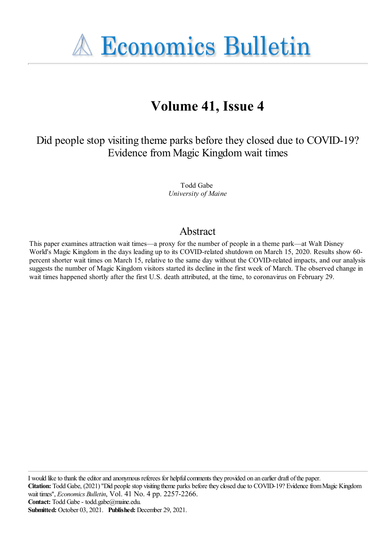**A Economics Bulletin** 

# **Volume 41, Issue 4**

Did people stop visiting theme parks before they closed due to COVID-19? Evidence from Magic Kingdomwait times

> Todd Gabe *University of Maine*

## Abstract

This paper examines attraction wait times—a proxy for the number of people in a theme park—at Walt Disney World's Magic Kingdom in the days leading up to its COVID-related shutdown on March 15, 2020. Results show 60 percent shorter wait times on March 15, relative to the same day without the COVID-related impacts, and our analysis suggests the number of Magic Kingdom visitors started its decline in the first week of March. The observed change in wait times happened shortly after the first U.S. death attributed, at the time, to coronavirus on February 29.

I would like to thank the editor and anonymous referees for helpful comments they provided on an earlier draft of the paper. **Citation:** Todd Gabe, (2021) "Did people stop visiting theme parks before they closed due to COVID-19? Evidence from Magic Kingdom wait times'', *Economics Bulletin*, Vol. 41 No. 4 pp. 2257-2266. Contact: Todd Gabe - todd.gabe@maine.edu. **Submitted:** October 03, 2021. **Published:** December 29, 2021.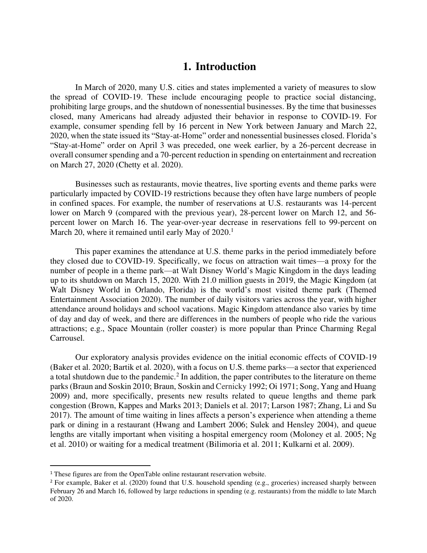## **1. Introduction**

In March of 2020, many U.S. cities and states implemented a variety of measures to slow the spread of COVID-19. These include encouraging people to practice social distancing, prohibiting large groups, and the shutdown of nonessential businesses. By the time that businesses closed, many Americans had already adjusted their behavior in response to COVID-19. For example, consumer spending fell by 16 percent in New York between January and March 22, 2020, when the state issued its "Stay-at-Home" order and nonessential businesses closed. Florida's "Stay-at-Home" order on April 3 was preceded, one week earlier, by a 26-percent decrease in overall consumer spending and a 70-percent reduction in spending on entertainment and recreation on March 27, 2020 (Chetty et al. 2020).

Businesses such as restaurants, movie theatres, live sporting events and theme parks were particularly impacted by COVID-19 restrictions because they often have large numbers of people in confined spaces. For example, the number of reservations at U.S. restaurants was 14-percent lower on March 9 (compared with the previous year), 28-percent lower on March 12, and 56 percent lower on March 16. The year-over-year decrease in reservations fell to 99-percent on March 20, where it remained until early May of 2020.<sup>1</sup>

This paper examines the attendance at U.S. theme parks in the period immediately before they closed due to COVID-19. Specifically, we focus on attraction wait times—a proxy for the number of people in a theme park—at Walt Disney World's Magic Kingdom in the days leading up to its shutdown on March 15, 2020. With 21.0 million guests in 2019, the Magic Kingdom (at Walt Disney World in Orlando, Florida) is the world's most visited theme park (Themed Entertainment Association 2020). The number of daily visitors varies across the year, with higher attendance around holidays and school vacations. Magic Kingdom attendance also varies by time of day and day of week, and there are differences in the numbers of people who ride the various attractions; e.g., Space Mountain (roller coaster) is more popular than Prince Charming Regal Carrousel.

Our exploratory analysis provides evidence on the initial economic effects of COVID-19 (Baker et al. 2020; Bartik et al. 2020), with a focus on U.S. theme parks—a sector that experienced a total shutdown due to the pandemic.<sup>2</sup> In addition, the paper contributes to the literature on theme parks (Braun and Soskin 2010; Braun, Soskin and Cernicky 1992; Oi 1971; Song, Yang and Huang 2009) and, more specifically, presents new results related to queue lengths and theme park congestion (Brown, Kappes and Marks 2013; Daniels et al. 2017; Larson 1987; Zhang, Li and Su 2017). The amount of time waiting in lines affects a person's experience when attending a theme park or dining in a restaurant (Hwang and Lambert 2006; Sulek and Hensley 2004), and queue lengths are vitally important when visiting a hospital emergency room (Moloney et al. 2005; Ng et al. 2010) or waiting for a medical treatment (Bilimoria et al. 2011; Kulkarni et al. 2009).

<sup>1</sup> These figures are from the OpenTable online restaurant reservation website.

<sup>&</sup>lt;sup>2</sup> For example, Baker et al. (2020) found that U.S. household spending (e.g., groceries) increased sharply between February 26 and March 16, followed by large reductions in spending (e.g. restaurants) from the middle to late March of 2020.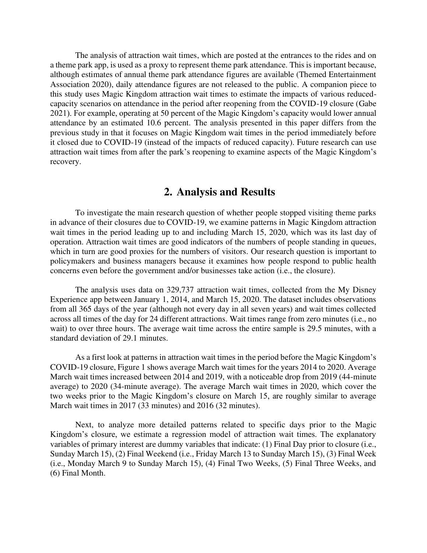The analysis of attraction wait times, which are posted at the entrances to the rides and on a theme park app, is used as a proxy to represent theme park attendance. This is important because, although estimates of annual theme park attendance figures are available (Themed Entertainment Association 2020), daily attendance figures are not released to the public. A companion piece to this study uses Magic Kingdom attraction wait times to estimate the impacts of various reducedcapacity scenarios on attendance in the period after reopening from the COVID-19 closure (Gabe 2021). For example, operating at 50 percent of the Magic Kingdom's capacity would lower annual attendance by an estimated 10.6 percent. The analysis presented in this paper differs from the previous study in that it focuses on Magic Kingdom wait times in the period immediately before it closed due to COVID-19 (instead of the impacts of reduced capacity). Future research can use attraction wait times from after the park's reopening to examine aspects of the Magic Kingdom's recovery.

#### **2. Analysis and Results**

To investigate the main research question of whether people stopped visiting theme parks in advance of their closures due to COVID-19, we examine patterns in Magic Kingdom attraction wait times in the period leading up to and including March 15, 2020, which was its last day of operation. Attraction wait times are good indicators of the numbers of people standing in queues, which in turn are good proxies for the numbers of visitors. Our research question is important to policymakers and business managers because it examines how people respond to public health concerns even before the government and/or businesses take action (i.e., the closure).

The analysis uses data on 329,737 attraction wait times, collected from the My Disney Experience app between January 1, 2014, and March 15, 2020. The dataset includes observations from all 365 days of the year (although not every day in all seven years) and wait times collected across all times of the day for 24 different attractions. Wait times range from zero minutes (i.e., no wait) to over three hours. The average wait time across the entire sample is 29.5 minutes, with a standard deviation of 29.1 minutes.

As a first look at patterns in attraction wait times in the period before the Magic Kingdom's COVID-19 closure, Figure 1 shows average March wait times for the years 2014 to 2020. Average March wait times increased between 2014 and 2019, with a noticeable drop from 2019 (44-minute average) to 2020 (34-minute average). The average March wait times in 2020, which cover the two weeks prior to the Magic Kingdom's closure on March 15, are roughly similar to average March wait times in 2017 (33 minutes) and 2016 (32 minutes).

Next, to analyze more detailed patterns related to specific days prior to the Magic Kingdom's closure, we estimate a regression model of attraction wait times. The explanatory variables of primary interest are dummy variables that indicate: (1) Final Day prior to closure (i.e., Sunday March 15), (2) Final Weekend (i.e., Friday March 13 to Sunday March 15), (3) Final Week (i.e., Monday March 9 to Sunday March 15), (4) Final Two Weeks, (5) Final Three Weeks, and (6) Final Month.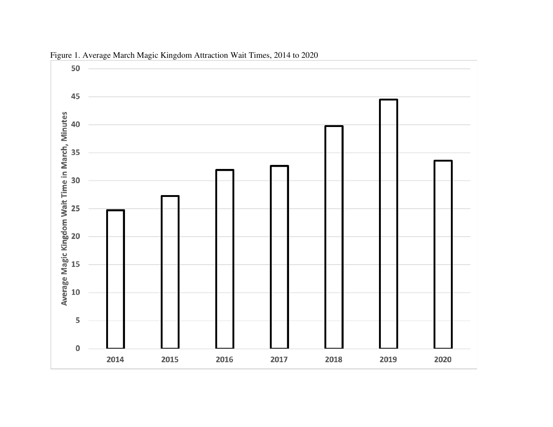

Figure 1. Average March Magic Kingdom Attraction Wait Times, 2014 to 2020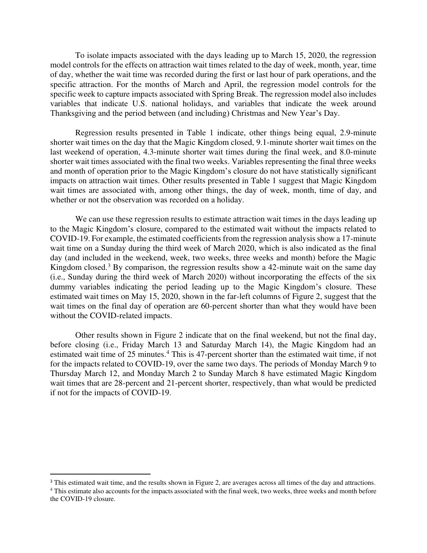To isolate impacts associated with the days leading up to March 15, 2020, the regression model controls for the effects on attraction wait times related to the day of week, month, year, time of day, whether the wait time was recorded during the first or last hour of park operations, and the specific attraction. For the months of March and April, the regression model controls for the specific week to capture impacts associated with Spring Break. The regression model also includes variables that indicate U.S. national holidays, and variables that indicate the week around Thanksgiving and the period between (and including) Christmas and New Year's Day.

Regression results presented in Table 1 indicate, other things being equal, 2.9-minute shorter wait times on the day that the Magic Kingdom closed, 9.1-minute shorter wait times on the last weekend of operation, 4.3-minute shorter wait times during the final week, and 8.0-minute shorter wait times associated with the final two weeks. Variables representing the final three weeks and month of operation prior to the Magic Kingdom's closure do not have statistically significant impacts on attraction wait times. Other results presented in Table 1 suggest that Magic Kingdom wait times are associated with, among other things, the day of week, month, time of day, and whether or not the observation was recorded on a holiday.

We can use these regression results to estimate attraction wait times in the days leading up to the Magic Kingdom's closure, compared to the estimated wait without the impacts related to COVID-19. For example, the estimated coefficients from the regression analysis show a 17-minute wait time on a Sunday during the third week of March 2020, which is also indicated as the final day (and included in the weekend, week, two weeks, three weeks and month) before the Magic Kingdom closed.<sup>3</sup> By comparison, the regression results show a 42-minute wait on the same day (i.e., Sunday during the third week of March 2020) without incorporating the effects of the six dummy variables indicating the period leading up to the Magic Kingdom's closure. These estimated wait times on May 15, 2020, shown in the far-left columns of Figure 2, suggest that the wait times on the final day of operation are 60-percent shorter than what they would have been without the COVID-related impacts.

Other results shown in Figure 2 indicate that on the final weekend, but not the final day, before closing (i.e., Friday March 13 and Saturday March 14), the Magic Kingdom had an estimated wait time of 25 minutes.<sup>4</sup> This is 47-percent shorter than the estimated wait time, if not for the impacts related to COVID-19, over the same two days. The periods of Monday March 9 to Thursday March 12, and Monday March 2 to Sunday March 8 have estimated Magic Kingdom wait times that are 28-percent and 21-percent shorter, respectively, than what would be predicted if not for the impacts of COVID-19.

<sup>&</sup>lt;sup>3</sup> This estimated wait time, and the results shown in Figure 2, are averages across all times of the day and attractions.

<sup>&</sup>lt;sup>4</sup> This estimate also accounts for the impacts associated with the final week, two weeks, three weeks and month before the COVID-19 closure.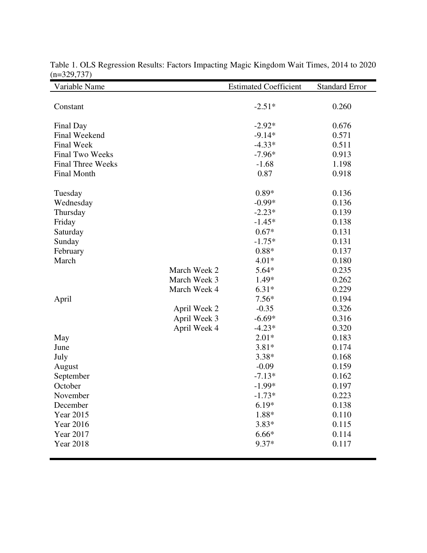| Variable Name            |              | <b>Estimated Coefficient</b> | <b>Standard Error</b> |
|--------------------------|--------------|------------------------------|-----------------------|
|                          |              |                              |                       |
| Constant                 |              | $-2.51*$                     | 0.260                 |
|                          |              |                              |                       |
| Final Day                |              | $-2.92*$                     | 0.676                 |
| Final Weekend            |              | $-9.14*$                     | 0.571                 |
| <b>Final Week</b>        |              | $-4.33*$                     | 0.511                 |
| <b>Final Two Weeks</b>   |              | $-7.96*$                     | 0.913                 |
| <b>Final Three Weeks</b> |              | $-1.68$                      | 1.198                 |
| <b>Final Month</b>       |              | 0.87                         | 0.918                 |
|                          |              |                              |                       |
| Tuesday                  |              | $0.89*$                      | 0.136                 |
| Wednesday                |              | $-0.99*$                     | 0.136                 |
| Thursday                 |              | $-2.23*$                     | 0.139                 |
| Friday                   |              | $-1.45*$                     | 0.138                 |
| Saturday                 |              | $0.67*$                      | 0.131                 |
| Sunday                   |              | $-1.75*$                     | 0.131                 |
| February                 |              | $0.88*$                      | 0.137                 |
| March                    |              | $4.01*$                      | 0.180                 |
|                          | March Week 2 | $5.64*$                      | 0.235                 |
|                          | March Week 3 | 1.49*                        | 0.262                 |
|                          | March Week 4 | $6.31*$                      | 0.229                 |
| April                    |              | $7.56*$                      | 0.194                 |
|                          | April Week 2 | $-0.35$                      | 0.326                 |
|                          | April Week 3 | $-6.69*$                     | 0.316                 |
|                          | April Week 4 | $-4.23*$                     | 0.320                 |
| May                      |              | $2.01*$                      | 0.183                 |
| June                     |              | $3.81*$                      | 0.174                 |
| July                     |              | $3.38*$                      | 0.168                 |
| August                   |              | $-0.09$                      | 0.159                 |
| September                |              | $-7.13*$                     | 0.162                 |
| October                  |              | $-1.99*$                     | 0.197                 |
| November                 |              | $-1.73*$                     | 0.223                 |
| December                 |              | $6.19*$                      | 0.138                 |
| Year 2015                |              | 1.88*                        | 0.110                 |
| <b>Year 2016</b>         |              | $3.83*$                      | 0.115                 |
| Year 2017                |              | $6.66*$                      | 0.114                 |
| <b>Year 2018</b>         |              | $9.37*$                      | 0.117                 |
|                          |              |                              |                       |

Table 1. OLS Regression Results: Factors Impacting Magic Kingdom Wait Times, 2014 to 2020  $(n=329,737)$  $\blacksquare$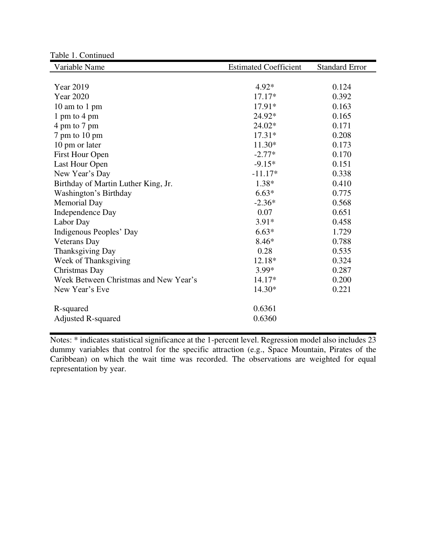| Variable Name                         | <b>Estimated Coefficient</b> | <b>Standard Error</b> |
|---------------------------------------|------------------------------|-----------------------|
|                                       |                              |                       |
| <b>Year 2019</b>                      | $4.92*$                      | 0.124                 |
| <b>Year 2020</b>                      | $17.17*$                     | 0.392                 |
| 10 am to 1 pm                         | 17.91*                       | 0.163                 |
| 1 pm to 4 pm                          | 24.92*                       | 0.165                 |
| 4 pm to 7 pm                          | 24.02*                       | 0.171                 |
| 7 pm to 10 pm                         | $17.31*$                     | 0.208                 |
| 10 pm or later                        | 11.30*                       | 0.173                 |
| First Hour Open                       | $-2.77*$                     | 0.170                 |
| Last Hour Open                        | $-9.15*$                     | 0.151                 |
| New Year's Day                        | $-11.17*$                    | 0.338                 |
| Birthday of Martin Luther King, Jr.   | $1.38*$                      | 0.410                 |
| Washington's Birthday                 | $6.63*$                      | 0.775                 |
| <b>Memorial Day</b>                   | $-2.36*$                     | 0.568                 |
| Independence Day                      | 0.07                         | 0.651                 |
| Labor Day                             | $3.91*$                      | 0.458                 |
| Indigenous Peoples' Day               | $6.63*$                      | 1.729                 |
| <b>Veterans</b> Day                   | $8.46*$                      | 0.788                 |
| Thanksgiving Day                      | 0.28                         | 0.535                 |
| Week of Thanksgiving                  | 12.18*                       | 0.324                 |
| Christmas Day                         | 3.99*                        | 0.287                 |
| Week Between Christmas and New Year's | 14.17*                       | 0.200                 |
| New Year's Eve                        | 14.30*                       | 0.221                 |
| R-squared                             | 0.6361                       |                       |
| <b>Adjusted R-squared</b>             | 0.6360                       |                       |

Notes: \* indicates statistical significance at the 1-percent level. Regression model also includes 23 dummy variables that control for the specific attraction (e.g., Space Mountain, Pirates of the Caribbean) on which the wait time was recorded. The observations are weighted for equal representation by year.

Table 1. Continued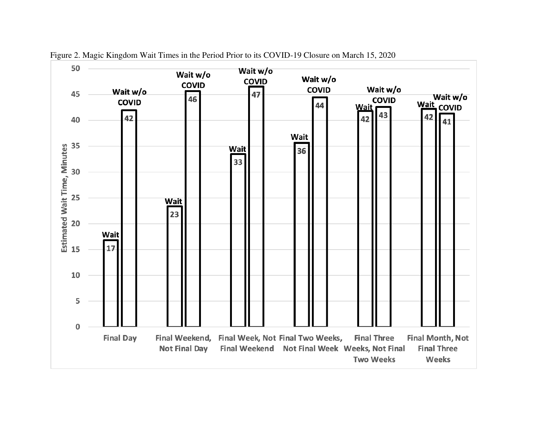

Figure 2. Magic Kingdom Wait Times in the Period Prior to its COVID-19 Closure on March 15, 2020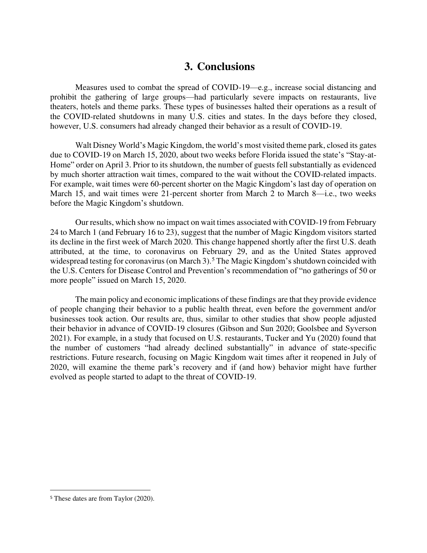## **3. Conclusions**

Measures used to combat the spread of COVID-19—e.g., increase social distancing and prohibit the gathering of large groups—had particularly severe impacts on restaurants, live theaters, hotels and theme parks. These types of businesses halted their operations as a result of the COVID-related shutdowns in many U.S. cities and states. In the days before they closed, however, U.S. consumers had already changed their behavior as a result of COVID-19.

Walt Disney World's Magic Kingdom, the world's most visited theme park, closed its gates due to COVID-19 on March 15, 2020, about two weeks before Florida issued the state's "Stay-at-Home" order on April 3. Prior to its shutdown, the number of guests fell substantially as evidenced by much shorter attraction wait times, compared to the wait without the COVID-related impacts. For example, wait times were 60-percent shorter on the Magic Kingdom's last day of operation on March 15, and wait times were 21-percent shorter from March 2 to March 8—i.e., two weeks before the Magic Kingdom's shutdown.

Our results, which show no impact on wait times associated with COVID-19 from February 24 to March 1 (and February 16 to 23), suggest that the number of Magic Kingdom visitors started its decline in the first week of March 2020. This change happened shortly after the first U.S. death attributed, at the time, to coronavirus on February 29, and as the United States approved widespread testing for coronavirus (on March 3).<sup>5</sup> The Magic Kingdom's shutdown coincided with the U.S. Centers for Disease Control and Prevention's recommendation of "no gatherings of 50 or more people" issued on March 15, 2020.

The main policy and economic implications of these findings are that they provide evidence of people changing their behavior to a public health threat, even before the government and/or businesses took action. Our results are, thus, similar to other studies that show people adjusted their behavior in advance of COVID-19 closures (Gibson and Sun 2020; Goolsbee and Syverson 2021). For example, in a study that focused on U.S. restaurants, Tucker and Yu (2020) found that the number of customers "had already declined substantially" in advance of state-specific restrictions. Future research, focusing on Magic Kingdom wait times after it reopened in July of 2020, will examine the theme park's recovery and if (and how) behavior might have further evolved as people started to adapt to the threat of COVID-19.

<sup>5</sup> These dates are from Taylor (2020).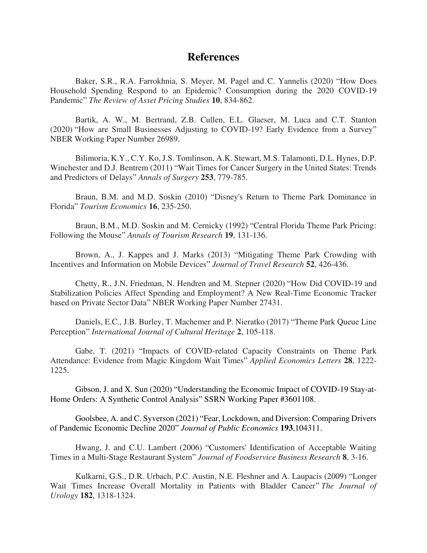### **References**

Baker, S.R., R.A. Farrokhnia, S. Meyer, M. Pagel and C. Yannelis (2020) "How Does Household Spending Respond to an Epidemic? Consumption during the 2020 COVID-19 Pandemic" *The Review of Asset Pricing Studies* **10**, 834-862.

Bartik, A. W., M. Bertrand, Z.B. Cullen, E.L. Glaeser, M. Luca and C.T. Stanton (2020) "How are Small Businesses Adjusting to COVID-19? Early Evidence from a Survey" NBER Working Paper Number 26989.

Bilimoria, K.Y., C.Y. Ko, J.S. Tomlinson, A.K. Stewart, M.S. Talamonti, D.L. Hynes, D.P. Winchester and D.J. Bentrem (2011) "Wait Times for Cancer Surgery in the United States: Trends and Predictors of Delays" *Annals of Surgery* **253**, 779-785.

Braun, B.M. and M.D. Soskin (2010) "Disney's Return to Theme Park Dominance in Florida" *Tourism Economics* **16**, 235-250.

Braun, B.M., M.D. Soskin and M. Cernicky (1992) "Central Florida Theme Park Pricing: Following the Mouse" *Annals of Tourism Research* **19**, 131-136.

Brown, A., J. Kappes and J. Marks (2013) "Mitigating Theme Park Crowding with Incentives and Information on Mobile Devices" *Journal of Travel Research* **52**, 426-436.

Chetty, R., J.N. Friedman, N. Hendren and M. Stepner (2020) "How Did COVID-19 and Stabilization Policies Affect Spending and Employment? A New Real-Time Economic Tracker based on Private Sector Data" NBER Working Paper Number 27431.

Daniels, E.C., J.B. Burley, T. Machemer and P. Nieratko (2017) "Theme Park Queue Line Perception" *International Journal of Cultural Heritage* **2**, 105-118.

Gabe, T. (2021) "Impacts of COVID-related Capacity Constraints on Theme Park Attendance: Evidence from Magic Kingdom Wait Times" *Applied Economics Letters* **28**, 1222- 1225.

Gibson, J. and X. Sun (2020) "Understanding the Economic Impact of COVID-19 Stay-at-Home Orders: A Synthetic Control Analysis" SSRN Working Paper #3601108.

Goolsbee, A. and C. Syverson (2021) "Fear, Lockdown, and Diversion: Comparing Drivers of Pandemic Economic Decline 2020" *Journal of Public Economics* **193**,104311.

Hwang, J. and C.U. Lambert (2006) "Customers' Identification of Acceptable Waiting Times in a Multi-Stage Restaurant System" *Journal of Foodservice Business Research* **8**, 3-16.

Kulkarni, G.S., D.R. Urbach, P.C. Austin, N.E. Fleshner and A. Laupacis (2009) "Longer Wait Times Increase Overall Mortality in Patients with Bladder Cancer" *The Journal of Urology* **182**, 1318-1324.